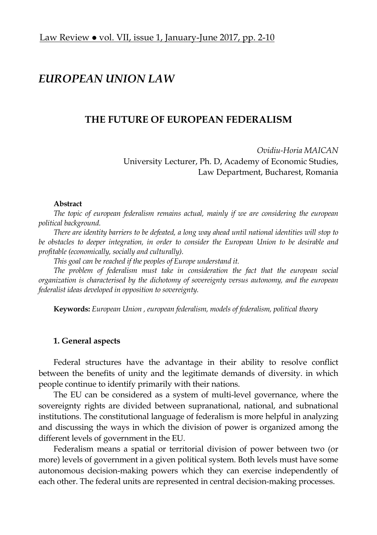# *EUROPEAN UNION LAW*

# **THE FUTURE OF EUROPEAN FEDERALISM**

*Ovidiu-Horia MAICAN*  University Lecturer, Ph. D, Academy of Economic Studies, Law Department, Bucharest, Romania

#### **Abstract**

*The topic of european federalism remains actual, mainly if we are considering the european political background.* 

*There are identity barriers to be defeated, a long way ahead until national identities will stop to be obstacles to deeper integration, in order to consider the European Union to be desirable and profitable (economically, socially and culturally).* 

*This goal can be reached if the peoples of Europe understand it.* 

*The problem of federalism must take in consideration the fact that the european social organization is characterised by the dichotomy of sovereignty versus autonomy, and the european federalist ideas developed in opposition to sovereignty.* 

**Keywords:** *European Union , european federalism, models of federalism, political theory* 

#### **1. General aspects**

Federal structures have the advantage in their ability to resolve conflict between the benefits of unity and the legitimate demands of diversity. in which people continue to identify primarily with their nations.

The EU can be considered as a system of multi-level governance, where the sovereignty rights are divided between supranational, national, and subnational institutions. The constitutional language of federalism is more helpful in analyzing and discussing the ways in which the division of power is organized among the different levels of government in the EU.

Federalism means a spatial or territorial division of power between two (or more) levels of government in a given political system. Both levels must have some autonomous decision-making powers which they can exercise independently of each other. The federal units are represented in central decision-making processes.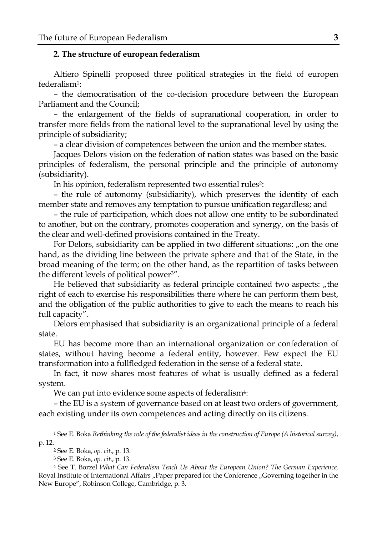# **2. The structure of european federalism**

Altiero Spinelli proposed three political strategies in the field of europen federalism1:

– the democratisation of the co-decision procedure between the European Parliament and the Council;

– the enlargement of the fields of supranational cooperation, in order to transfer more fields from the national level to the supranational level by using the principle of subsidiarity;

– a clear division of competences between the union and the member states.

Jacques Delors vision on the federation of nation states was based on the basic principles of federalism, the personal principle and the principle of autonomy (subsidiarity).

In his opinion, federalism represented two essential rules2:

– the rule of autonomy (subsidiarity), which preserves the identity of each member state and removes any temptation to pursue unification regardless; and

– the rule of participation, which does not allow one entity to be subordinated to another, but on the contrary, promotes cooperation and synergy, on the basis of the clear and well-defined provisions contained in the Treaty.

For Delors, subsidiarity can be applied in two different situations: "on the one hand, as the dividing line between the private sphere and that of the State, in the broad meaning of the term; on the other hand, as the repartition of tasks between the different levels of political power3".

He believed that subsidiarity as federal principle contained two aspects:  $n$  the right of each to exercise his responsibilities there where he can perform them best, and the obligation of the public authorities to give to each the means to reach his full capacity".

Delors emphasised that subsidiarity is an organizational principle of a federal state.

EU has become more than an international organization or confederation of states, without having become a federal entity, however. Few expect the EU transformation into a fullfledged federation in the sense of a federal state.

In fact, it now shares most features of what is usually defined as a federal system.

We can put into evidence some aspects of federalism<sup>4</sup>:

– the EU is a system of governance based on at least two orders of government, each existing under its own competences and acting directly on its citizens.

<sup>1</sup> See E. Boka *Rethinking the role of the federalist ideas in the construction of Europe (A historical survey)*, p. 12.

<sup>2</sup> See E. Boka, *op. cit*., p. 13. 3 See E. Boka, *op. cit*., p. 13.

<sup>4</sup> See T. Borzel *What Can Federalism Teach Us About the European Union? The German Experience,*  Royal Institute of International Affairs "Paper prepared for the Conference "Governing together in the New Europe", Robinson College, Cambridge, p. 3.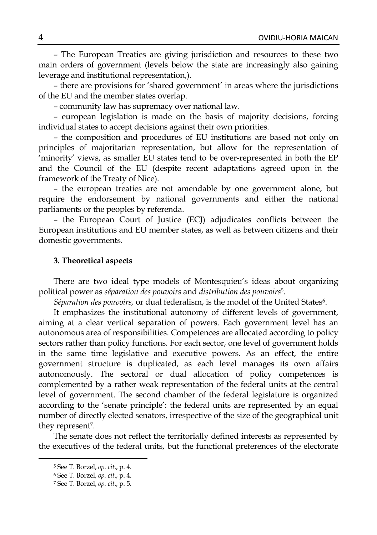– The European Treaties are giving jurisdiction and resources to these two main orders of government (levels below the state are increasingly also gaining leverage and institutional representation,).

– there are provisions for 'shared government' in areas where the jurisdictions of the EU and the member states overlap.

– community law has supremacy over national law.

– european legislation is made on the basis of majority decisions, forcing individual states to accept decisions against their own priorities.

– the composition and procedures of EU institutions are based not only on principles of majoritarian representation, but allow for the representation of 'minority' views, as smaller EU states tend to be over-represented in both the EP and the Council of the EU (despite recent adaptations agreed upon in the framework of the Treaty of Nice).

– the european treaties are not amendable by one government alone, but require the endorsement by national governments and either the national parliaments or the peoples by referenda.

– the European Court of Justice (ECJ) adjudicates conflicts between the European institutions and EU member states, as well as between citizens and their domestic governments.

#### **3. Theoretical aspects**

There are two ideal type models of Montesquieu's ideas about organizing political power as *séparation des pouvoirs* and *distribution des pouvoirs*5.

*Séparation des pouvoirs,* or dual federalism, is the model of the United States6.

It emphasizes the institutional autonomy of different levels of government, aiming at a clear vertical separation of powers. Each government level has an autonomous area of responsibilities. Competences are allocated according to policy sectors rather than policy functions. For each sector, one level of government holds in the same time legislative and executive powers. As an effect, the entire government structure is duplicated, as each level manages its own affairs autonomously. The sectoral or dual allocation of policy competences is complemented by a rather weak representation of the federal units at the central level of government. The second chamber of the federal legislature is organized according to the 'senate principle': the federal units are represented by an equal number of directly elected senators, irrespective of the size of the geographical unit they represent<sup>7</sup>.

The senate does not reflect the territorially defined interests as represented by the executives of the federal units, but the functional preferences of the electorate

<sup>5</sup> See T. Borzel, *op. cit*., p. 4.

<sup>6</sup> See T. Borzel, *op. cit*., p. 4.

<sup>7</sup> See T. Borzel, *op. cit*., p. 5.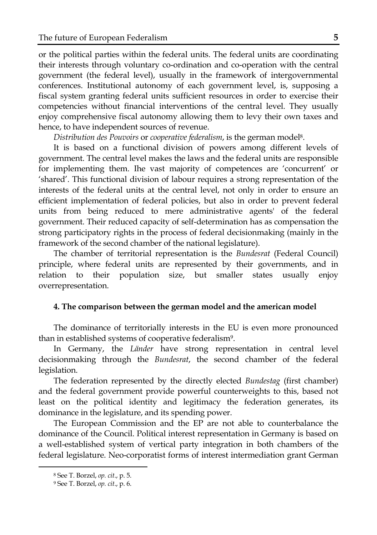or the political parties within the federal units. The federal units are coordinating their interests through voluntary co-ordination and co-operation with the central government (the federal level), usually in the framework of intergovernmental conferences. Institutional autonomy of each government level, is, supposing a fiscal system granting federal units sufficient resources in order to exercise their competencies without financial interventions of the central level. They usually enjoy comprehensive fiscal autonomy allowing them to levy their own taxes and hence, to have independent sources of revenue.

*Distribution des Pouvoirs* or *cooperative federalism*, is the german model8.

It is based on a functional division of powers among different levels of government. The central level makes the laws and the federal units are responsible for implementing them. Ihe vast majority of competences are 'concurrent' or 'shared'. This functional division of labour requires a strong representation of the interests of the federal units at the central level, not only in order to ensure an efficient implementation of federal policies, but also in order to prevent federal units from being reduced to mere administrative agents' of the federal government. Their reduced capacity of self-determination has as compensation the strong participatory rights in the process of federal decisionmaking (mainly in the framework of the second chamber of the national legislature).

The chamber of territorial representation is the *Bundesrat* (Federal Council) principle, where federal units are represented by their governments, and in relation to their population size, but smaller states usually enjoy overrepresentation.

# **4. The comparison between the german model and the american model**

The dominance of territorially interests in the EU is even more pronounced than in established systems of cooperative federalism9.

In Germany, the *Länder* have strong representation in central level decisionmaking through the *Bundesrat*, the second chamber of the federal legislation.

The federation represented by the directly elected *Bundestag* (first chamber) and the federal government provide powerful counterweights to this, based not least on the political identity and legitimacy the federation generates, its dominance in the legislature, and its spending power.

The European Commission and the EP are not able to counterbalance the dominance of the Council. Political interest representation in Germany is based on a well-established system of vertical party integration in both chambers of the federal legislature. Neo-corporatist forms of interest intermediation grant German

<sup>8</sup> See T. Borzel, *op. cit*., p. 5.

<sup>9</sup> See T. Borzel, *op. cit*., p. 6.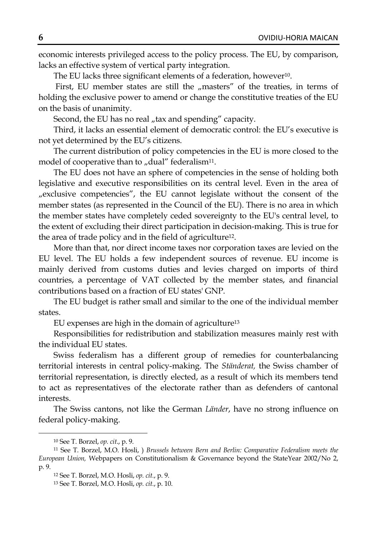economic interests privileged access to the policy process. The EU, by comparison, lacks an effective system of vertical party integration.

The EU lacks three significant elements of a federation, however<sup>10</sup>.

First, EU member states are still the "masters" of the treaties, in terms of holding the exclusive power to amend or change the constitutive treaties of the EU on the basis of unanimity.

Second, the EU has no real "tax and spending" capacity.

Third, it lacks an essential element of democratic control: the EU's executive is not yet determined by the EU's citizens.

The current distribution of policy competencies in the EU is more closed to the model of cooperative than to  $\mu$  dual" federalism<sup>11</sup>.

The EU does not have an sphere of competencies in the sense of holding both legislative and executive responsibilities on its central level. Even in the area of "exclusive competencies", the EU cannot legislate without the consent of the member states (as represented in the Council of the EU). There is no area in which the member states have completely ceded sovereignty to the EU's central level, to the extent of excluding their direct participation in decision-making. This is true for the area of trade policy and in the field of agriculture12.

More than that, nor direct income taxes nor corporation taxes are levied on the EU level. The EU holds a few independent sources of revenue. EU income is mainly derived from customs duties and levies charged on imports of third countries, a percentage of VAT collected by the member states, and financial contributions based on a fraction of EU states' GNP.

The EU budget is rather small and similar to the one of the individual member states.

EU expenses are high in the domain of agriculture13

Responsibilities for redistribution and stabilization measures mainly rest with the individual EU states.

Swiss federalism has a different group of remedies for counterbalancing territorial interests in central policy-making. The *Ständerat,* the Swiss chamber of territorial representation, is directly elected, as a result of which its members tend to act as representatives of the electorate rather than as defenders of cantonal interests.

The Swiss cantons, not like the German *Länder*, have no strong influence on federal policy-making.

<sup>10</sup> See T. Borzel, *op. cit*., p. 9.

<sup>11</sup> See T. Borzel, M.O. Hosli, ) *Brussels between Bern and Berlin: Comparative Federalism meets the European Union,* Webpapers on Constitutionalism & Governance beyond the StateYear 2002/No 2, p. 9.

<sup>12</sup> See T. Borzel, M.O. Hosli, *op. cit.*, p. 9.

<sup>13</sup> See T. Borzel, M.O. Hosli, *op. cit.*, p. 10.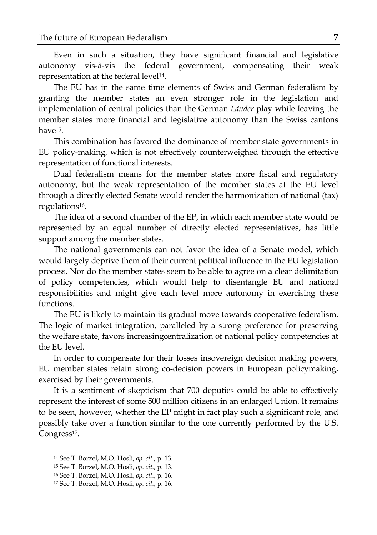Even in such a situation, they have significant financial and legislative autonomy vis-à-vis the federal government, compensating their weak representation at the federal level<sup>14</sup>.

The EU has in the same time elements of Swiss and German federalism by granting the member states an even stronger role in the legislation and implementation of central policies than the German *Länder* play while leaving the member states more financial and legislative autonomy than the Swiss cantons have15.

This combination has favored the dominance of member state governments in EU policy-making, which is not effectively counterweighed through the effective representation of functional interests.

Dual federalism means for the member states more fiscal and regulatory autonomy, but the weak representation of the member states at the EU level through a directly elected Senate would render the harmonization of national (tax) regulations16.

The idea of a second chamber of the EP, in which each member state would be represented by an equal number of directly elected representatives, has little support among the member states.

The national governments can not favor the idea of a Senate model, which would largely deprive them of their current political influence in the EU legislation process. Nor do the member states seem to be able to agree on a clear delimitation of policy competencies, which would help to disentangle EU and national responsibilities and might give each level more autonomy in exercising these functions.

The EU is likely to maintain its gradual move towards cooperative federalism. The logic of market integration, paralleled by a strong preference for preserving the welfare state, favors increasingcentralization of national policy competencies at the EU level.

In order to compensate for their losses insovereign decision making powers, EU member states retain strong co-decision powers in European policymaking, exercised by their governments.

It is a sentiment of skepticism that 700 deputies could be able to effectively represent the interest of some 500 million citizens in an enlarged Union. It remains to be seen, however, whether the EP might in fact play such a significant role, and possibly take over a function similar to the one currently performed by the U.S. Congress<sup>17</sup>.

<sup>14</sup> See T. Borzel, M.O. Hosli, *op. cit.*, p. 13.

<sup>15</sup> See T. Borzel, M.O. Hosli, *op. cit.*, p. 13.

<sup>16</sup> See T. Borzel, M.O. Hosli, *op. cit.*, p. 16.

<sup>17</sup> See T. Borzel, M.O. Hosli, *op. cit.*, p. 16.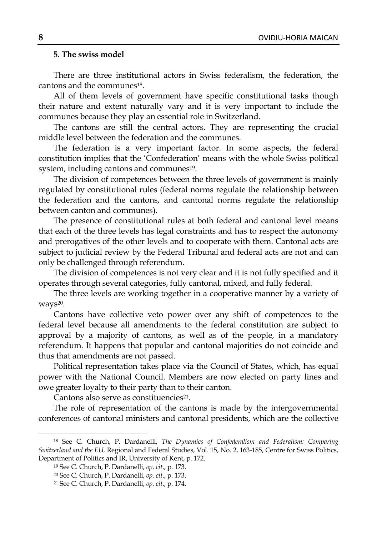# **5. The swiss model**

There are three institutional actors in Swiss federalism, the federation, the cantons and the communes18.

All of them levels of government have specific constitutional tasks though their nature and extent naturally vary and it is very important to include the communes because they play an essential role in Switzerland.

The cantons are still the central actors. They are representing the crucial middle level between the federation and the communes.

The federation is a very important factor. In some aspects, the federal constitution implies that the 'Confederation' means with the whole Swiss political system, including cantons and communes<sup>19</sup>.

The division of competences between the three levels of government is mainly regulated by constitutional rules (federal norms regulate the relationship between the federation and the cantons, and cantonal norms regulate the relationship between canton and communes).

The presence of constitutional rules at both federal and cantonal level means that each of the three levels has legal constraints and has to respect the autonomy and prerogatives of the other levels and to cooperate with them. Cantonal acts are subject to judicial review by the Federal Tribunal and federal acts are not and can only be challenged through referendum.

The division of competences is not very clear and it is not fully specified and it operates through several categories, fully cantonal, mixed, and fully federal.

The three levels are working together in a cooperative manner by a variety of ways<sup>20</sup>.

Cantons have collective veto power over any shift of competences to the federal level because all amendments to the federal constitution are subject to approval by a majority of cantons, as well as of the people, in a mandatory referendum. It happens that popular and cantonal majorities do not coincide and thus that amendments are not passed.

Political representation takes place via the Council of States, which, has equal power with the National Council. Members are now elected on party lines and owe greater loyalty to their party than to their canton.

Cantons also serve as constituencies<sup>21</sup>.

The role of representation of the cantons is made by the intergovernmental conferences of cantonal ministers and cantonal presidents, which are the collective

<sup>18</sup> See C. Church, P. Dardanelli, *The Dynamics of Confederalism and Federalism: Comparing Switzerland and the EU,* Regional and Federal Studies, Vol. 15, No. 2, 163-185, Centre for Swiss Politics, Department of Politics and IR, University of Kent, p. 172.

<sup>19</sup> See C. Church, P. Dardanelli, *op. cit.*, p. 173.

<sup>20</sup> See C. Church, P. Dardanelli, *op. cit*., p. 173.

<sup>21</sup> See C. Church, P. Dardanelli, *op. cit*., p. 174.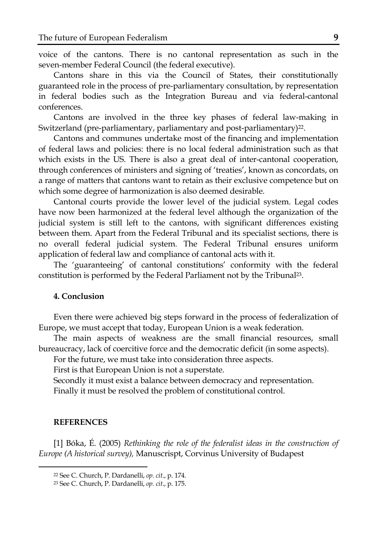voice of the cantons. There is no cantonal representation as such in the seven-member Federal Council (the federal executive).

Cantons share in this via the Council of States, their constitutionally guaranteed role in the process of pre-parliamentary consultation, by representation in federal bodies such as the Integration Bureau and via federal-cantonal conferences.

Cantons are involved in the three key phases of federal law-making in Switzerland (pre-parliamentary, parliamentary and post-parliamentary)<sup>22</sup>.

Cantons and communes undertake most of the financing and implementation of federal laws and policies: there is no local federal administration such as that which exists in the US. There is also a great deal of inter-cantonal cooperation, through conferences of ministers and signing of 'treaties', known as concordats, on a range of matters that cantons want to retain as their exclusive competence but on which some degree of harmonization is also deemed desirable.

Cantonal courts provide the lower level of the judicial system. Legal codes have now been harmonized at the federal level although the organization of the judicial system is still left to the cantons, with significant differences existing between them. Apart from the Federal Tribunal and its specialist sections, there is no overall federal judicial system. The Federal Tribunal ensures uniform application of federal law and compliance of cantonal acts with it.

The 'guaranteeing' of cantonal constitutions' conformity with the federal constitution is performed by the Federal Parliament not by the Tribunal23.

# **4. Conclusion**

Even there were achieved big steps forward in the process of federalization of Europe, we must accept that today, European Union is a weak federation.

The main aspects of weakness are the small financial resources, small bureaucracy, lack of coercitive force and the democratic deficit (in some aspects).

For the future, we must take into consideration three aspects.

First is that European Union is not a superstate.

Secondly it must exist a balance between democracy and representation. Finally it must be resolved the problem of constitutional control.

#### **REFERENCES**

 $\overline{a}$ 

[1] Bóka, É. (2005) *Rethinking the role of the federalist ideas in the construction of Europe (A historical survey),* Manuscrispt, Corvinus University of Budapest

<sup>22</sup> See C. Church, P. Dardanelli, *op. cit*., p. 174.

<sup>23</sup> See C. Church, P. Dardanelli, *op. cit*., p. 175.